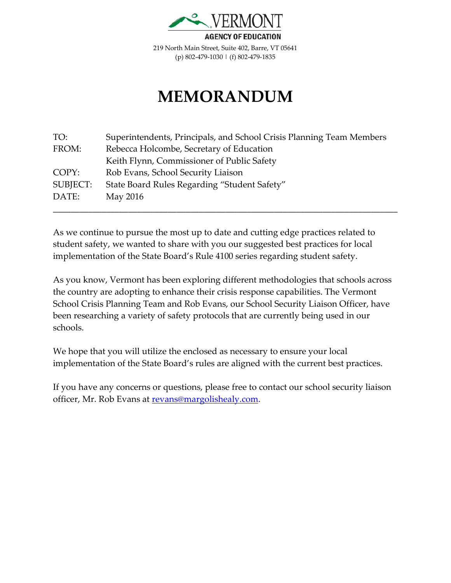

219 North Main Street, Suite 402, Barre, VT 05641 (p) 802-479-1030 | (f) 802-479-1835

## **MEMORANDUM**

| TO:      | Superintendents, Principals, and School Crisis Planning Team Members |
|----------|----------------------------------------------------------------------|
| FROM:    | Rebecca Holcombe, Secretary of Education                             |
|          | Keith Flynn, Commissioner of Public Safety                           |
| COPY:    | Rob Evans, School Security Liaison                                   |
| SUBJECT: | State Board Rules Regarding "Student Safety"                         |
| DATE:    | May 2016                                                             |
|          |                                                                      |

As we continue to pursue the most up to date and cutting edge practices related to student safety, we wanted to share with you our suggested best practices for local implementation of the State Board's Rule 4100 series regarding student safety.

As you know, Vermont has been exploring different methodologies that schools across the country are adopting to enhance their crisis response capabilities. The Vermont School Crisis Planning Team and Rob Evans, our School Security Liaison Officer, have been researching a variety of safety protocols that are currently being used in our schools.

We hope that you will utilize the enclosed as necessary to ensure your local implementation of the State Board's rules are aligned with the current best practices.

If you have any concerns or questions, please free to contact our school security liaison officer, Mr. Rob Evans at [revans@margolishealy.com.](mailto:revans@margolishealy.com)